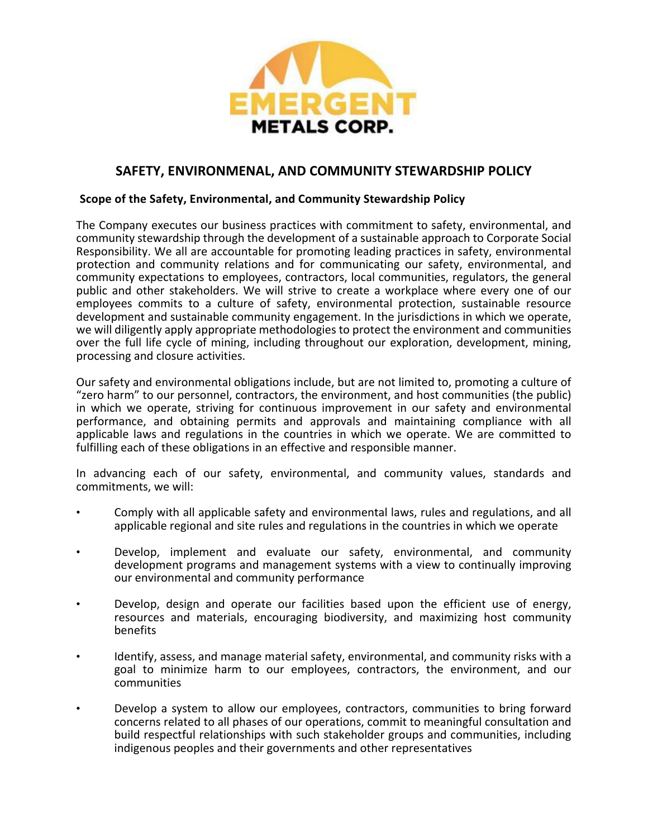

# **SAFETY, ENVIRONMENAL, AND COMMUNITY STEWARDSHIP POLICY**

# **Scope of the Safety, Environmental, and Community Stewardship Policy**

The Company executes our business practices with commitment to safety, environmental, and community stewardship through the development of a sustainable approach to Corporate Social Responsibility. We all are accountable for promoting leading practices in safety, environmental protection and community relations and for communicating our safety, environmental, and community expectations to employees, contractors, local communities, regulators, the general public and other stakeholders. We will strive to create a workplace where every one of our employees commits to a culture of safety, environmental protection, sustainable resource development and sustainable community engagement. In the jurisdictions in which we operate, we will diligently apply appropriate methodologies to protect the environment and communities over the full life cycle of mining, including throughout our exploration, development, mining, processing and closure activities.

Our safety and environmental obligations include, but are not limited to, promoting a culture of "zero harm" to our personnel, contractors, the environment, and host communities (the public) in which we operate, striving for continuous improvement in our safety and environmental performance, and obtaining permits and approvals and maintaining compliance with all applicable laws and regulations in the countries in which we operate. We are committed to fulfilling each of these obligations in an effective and responsible manner.

In advancing each of our safety, environmental, and community values, standards and commitments, we will:

- Comply with all applicable safety and environmental laws, rules and regulations, and all applicable regional and site rules and regulations in the countries in which we operate
- Develop, implement and evaluate our safety, environmental, and community development programs and management systems with a view to continually improving our environmental and community performance
- Develop, design and operate our facilities based upon the efficient use of energy, resources and materials, encouraging biodiversity, and maximizing host community benefits
- Identify, assess, and manage material safety, environmental, and community risks with a goal to minimize harm to our employees, contractors, the environment, and our communities
- Develop a system to allow our employees, contractors, communities to bring forward concerns related to all phases of our operations, commit to meaningful consultation and build respectful relationships with such stakeholder groups and communities, including indigenous peoples and their governments and other representatives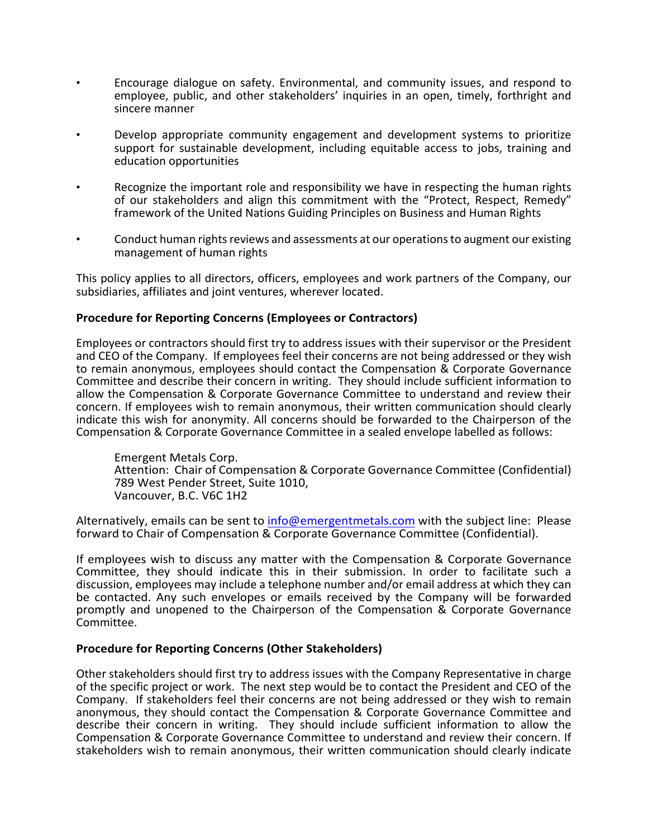- Encourage dialogue on safety. Environmental, and community issues, and respond to employee, public, and other stakeholders' inquiries in an open, timely, forthright and sincere manner
- Develop appropriate community engagement and development systems to prioritize support for sustainable development, including equitable access to jobs, training and education opportunities
- Recognize the important role and responsibility we have in respecting the human rights of our stakeholders and align this commitment with the "Protect, Respect, Remedy" framework of the United Nations Guiding Principles on Business and Human Rights
- Conduct human rights reviews and assessments at our operations to augment our existing management of human rights

This policy applies to all directors, officers, employees and work partners of the Company, our subsidiaries, affiliates and joint ventures, wherever located.

# **Procedure for Reporting Concerns (Employees or Contractors)**

Employees or contractors should first try to address issues with their supervisor or the President and CEO of the Company. If employees feel their concerns are not being addressed or they wish to remain anonymous, employees should contact the Compensation & Corporate Governance Committee and describe their concern in writing. They should include sufficient information to allow the Compensation & Corporate Governance Committee to understand and review their concern. If employees wish to remain anonymous, their written communication should clearly indicate this wish for anonymity. All concerns should be forwarded to the Chairperson of the Compensation & Corporate Governance Committee in a sealed envelope labelled as follows:

Emergent Metals Corp. Attention: Chair of Compensation & Corporate Governance Committee (Confidential) 789 West Pender Street, Suite 1010, Vancouver, B.C. V6C 1H2

Alternatively, emails can be sent to [info@emergentmetals.com](mailto:info@emergentmetals.com) with the subject line: Please forward to Chair of Compensation & Corporate Governance Committee (Confidential).

If employees wish to discuss any matter with the Compensation & Corporate Governance Committee, they should indicate this in their submission. In order to facilitate such a discussion, employees may include a telephone number and/or email address at which they can be contacted. Any such envelopes or emails received by the Company will be forwarded promptly and unopened to the Chairperson of the Compensation & Corporate Governance Committee.

### **Procedure for Reporting Concerns (Other Stakeholders)**

Other stakeholders should first try to address issues with the Company Representative in charge of the specific project or work. The next step would be to contact the President and CEO of the Company. If stakeholders feel their concerns are not being addressed or they wish to remain anonymous, they should contact the Compensation & Corporate Governance Committee and describe their concern in writing. They should include sufficient information to allow the Compensation & Corporate Governance Committee to understand and review their concern. If stakeholders wish to remain anonymous, their written communication should clearly indicate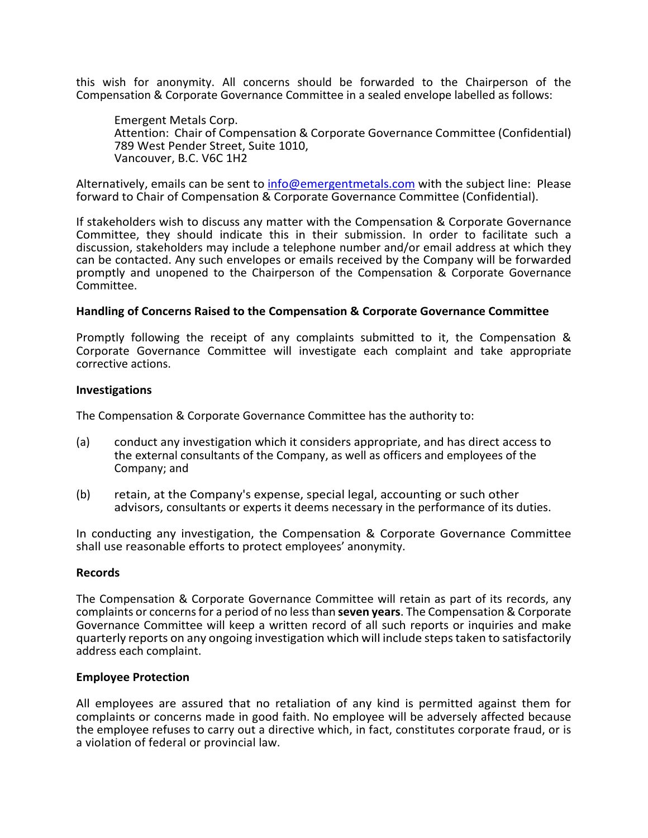this wish for anonymity. All concerns should be forwarded to the Chairperson of the Compensation & Corporate Governance Committee in a sealed envelope labelled as follows:

Emergent Metals Corp. Attention: Chair of Compensation & Corporate Governance Committee (Confidential) 789 West Pender Street, Suite 1010, Vancouver, B.C. V6C 1H2

Alternatively, emails can be sent to [info@emergentmetals.com](mailto:info@emergentmetals.com) with the subject line: Please forward to Chair of Compensation & Corporate Governance Committee (Confidential).

If stakeholders wish to discuss any matter with the Compensation & Corporate Governance Committee, they should indicate this in their submission. In order to facilitate such a discussion, stakeholders may include a telephone number and/or email address at which they can be contacted. Any such envelopes or emails received by the Company will be forwarded promptly and unopened to the Chairperson of the Compensation & Corporate Governance Committee.

# **Handling of Concerns Raised to the Compensation & Corporate Governance Committee**

Promptly following the receipt of any complaints submitted to it, the Compensation & Corporate Governance Committee will investigate each complaint and take appropriate corrective actions.

### **Investigations**

The Compensation & Corporate Governance Committee has the authority to:

- (a) conduct any investigation which it considers appropriate, and has direct access to the external consultants of the Company, as well as officers and employees of the Company; and
- (b) retain, at the Company's expense, special legal, accounting or such other advisors, consultants or experts it deems necessary in the performance of its duties.

In conducting any investigation, the Compensation & Corporate Governance Committee shall use reasonable efforts to protect employees' anonymity.

### **Records**

The Compensation & Corporate Governance Committee will retain as part of its records, any complaints or concerns for a period of no less than **seven years**. The Compensation & Corporate Governance Committee will keep a written record of all such reports or inquiries and make quarterly reports on any ongoing investigation which will include steps taken to satisfactorily address each complaint.

### **Employee Protection**

All employees are assured that no retaliation of any kind is permitted against them for complaints or concerns made in good faith. No employee will be adversely affected because the employee refuses to carry out a directive which, in fact, constitutes corporate fraud, or is a violation of federal or provincial law.